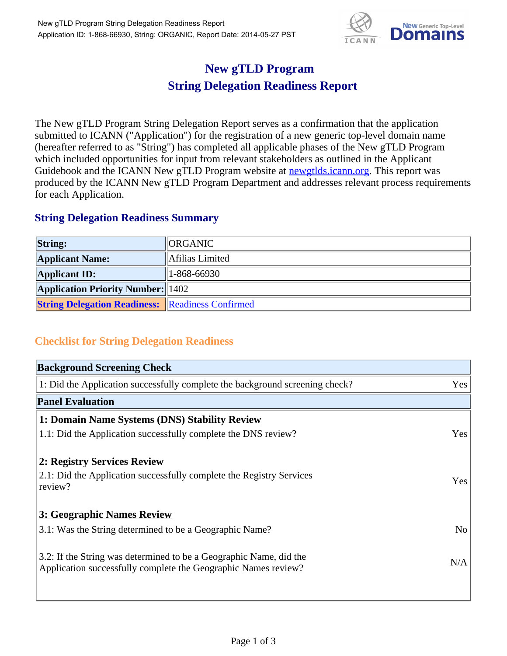

## **New gTLD Program String Delegation Readiness Report**

The New gTLD Program String Delegation Report serves as a confirmation that the application submitted to ICANN ("Application") for the registration of a new generic top-level domain name (hereafter referred to as "String") has completed all applicable phases of the New gTLD Program which included opportunities for input from relevant stakeholders as outlined in the Applicant Guidebook and the ICANN New gTLD Program website at newgtlds.icann.org. This report was produced by the ICANN New gTLD Program Department and addresses relevant process requirements for each Application.

## **String Delegation Readiness Summary**

| <b>String:</b>                                          | <b>IORGANIC</b> |
|---------------------------------------------------------|-----------------|
| <b>Applicant Name:</b>                                  | Afilias Limited |
| <b>Applicant ID:</b>                                    | 1-868-66930     |
| <b>Application Priority Number: 1402</b>                |                 |
| <b>String Delegation Readiness: Readiness Confirmed</b> |                 |

## **Checklist for String Delegation Readiness**

| <b>Background Screening Check</b>                                                                                                    |                |
|--------------------------------------------------------------------------------------------------------------------------------------|----------------|
| 1: Did the Application successfully complete the background screening check?                                                         | Yes            |
| <b>Panel Evaluation</b>                                                                                                              |                |
| 1: Domain Name Systems (DNS) Stability Review                                                                                        |                |
| 1.1: Did the Application successfully complete the DNS review?                                                                       | Yes            |
| 2: Registry Services Review                                                                                                          |                |
| 2.1: Did the Application successfully complete the Registry Services<br>review?                                                      | Yes            |
| 3: Geographic Names Review                                                                                                           |                |
| 3.1: Was the String determined to be a Geographic Name?                                                                              | N <sub>o</sub> |
| 3.2: If the String was determined to be a Geographic Name, did the<br>Application successfully complete the Geographic Names review? | N/A            |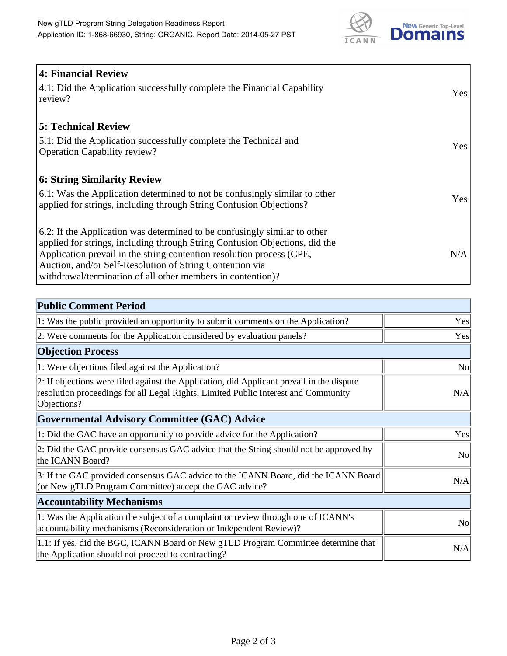

| <b>4: Financial Review</b><br>4.1: Did the Application successfully complete the Financial Capability<br>review?                                                                                                                                                                                                                                             | Yes |
|--------------------------------------------------------------------------------------------------------------------------------------------------------------------------------------------------------------------------------------------------------------------------------------------------------------------------------------------------------------|-----|
| <b>5: Technical Review</b><br>5.1: Did the Application successfully complete the Technical and<br><b>Operation Capability review?</b>                                                                                                                                                                                                                        | Yes |
| <u><b>6: String Similarity Review</b></u><br>6.1: Was the Application determined to not be confusingly similar to other<br>applied for strings, including through String Confusion Objections?                                                                                                                                                               | Yes |
| 6.2: If the Application was determined to be confusingly similar to other<br>applied for strings, including through String Confusion Objections, did the<br>Application prevail in the string contention resolution process (CPE,<br>Auction, and/or Self-Resolution of String Contention via<br>withdrawal/termination of all other members in contention)? | N/A |

| <b>Public Comment Period</b>                                                                                                                                                                   |                |
|------------------------------------------------------------------------------------------------------------------------------------------------------------------------------------------------|----------------|
| 1: Was the public provided an opportunity to submit comments on the Application?                                                                                                               | Yes            |
| 2: Were comments for the Application considered by evaluation panels?                                                                                                                          | Yes            |
| <b>Objection Process</b>                                                                                                                                                                       |                |
| 1: Were objections filed against the Application?                                                                                                                                              | No             |
| 2: If objections were filed against the Application, did Applicant prevail in the dispute<br>resolution proceedings for all Legal Rights, Limited Public Interest and Community<br>Objections? | N/A            |
| <b>Governmental Advisory Committee (GAC) Advice</b>                                                                                                                                            |                |
| 1: Did the GAC have an opportunity to provide advice for the Application?                                                                                                                      | Yes            |
| 2: Did the GAC provide consensus GAC advice that the String should not be approved by<br>the ICANN Board?                                                                                      | N <sub>o</sub> |
| 3: If the GAC provided consensus GAC advice to the ICANN Board, did the ICANN Board<br>(or New gTLD Program Committee) accept the GAC advice?                                                  | N/A            |
| <b>Accountability Mechanisms</b>                                                                                                                                                               |                |
| 1: Was the Application the subject of a complaint or review through one of ICANN's<br>accountability mechanisms (Reconsideration or Independent Review)?                                       | N <sub>0</sub> |
| 1.1: If yes, did the BGC, ICANN Board or New gTLD Program Committee determine that<br>the Application should not proceed to contracting?                                                       | N/A            |